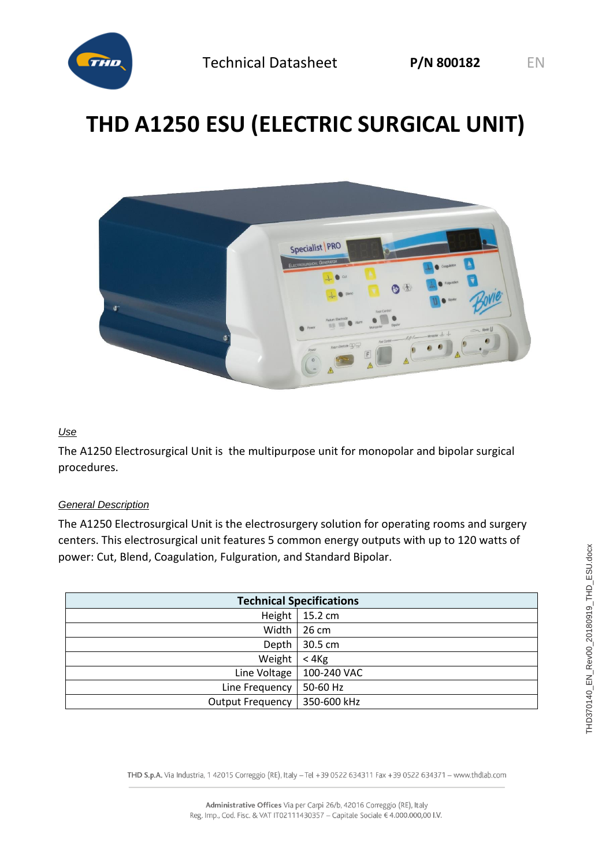

# **THD A1250 ESU (ELECTRIC SURGICAL UNIT)**



#### *Use*

The A1250 Electrosurgical Unit is the multipurpose unit for monopolar and bipolar surgical procedures.

#### *General Description*

The A1250 Electrosurgical Unit is the electrosurgery solution for operating rooms and surgery centers. This electrosurgical unit features 5 common energy outputs with up to 120 watts of power: Cut, Blend, Coagulation, Fulguration, and Standard Bipolar.

| <b>Technical Specifications</b> |             |  |
|---------------------------------|-------------|--|
|                                 |             |  |
| Height                          | 15.2 cm     |  |
| Width                           | 26 cm       |  |
| Depth                           | 30.5 cm     |  |
| Weight                          | < 4Kg       |  |
| Line Voltage                    | 100-240 VAC |  |
| Line Frequency                  | 50-60 Hz    |  |
| <b>Output Frequency</b>         | 350-600 kHz |  |

THD S.p.A. Via Industria, 1 42015 Correggio (RE), Italy -Tel +39 0522 634311 Fax +39 0522 634371 - www.thdlab.com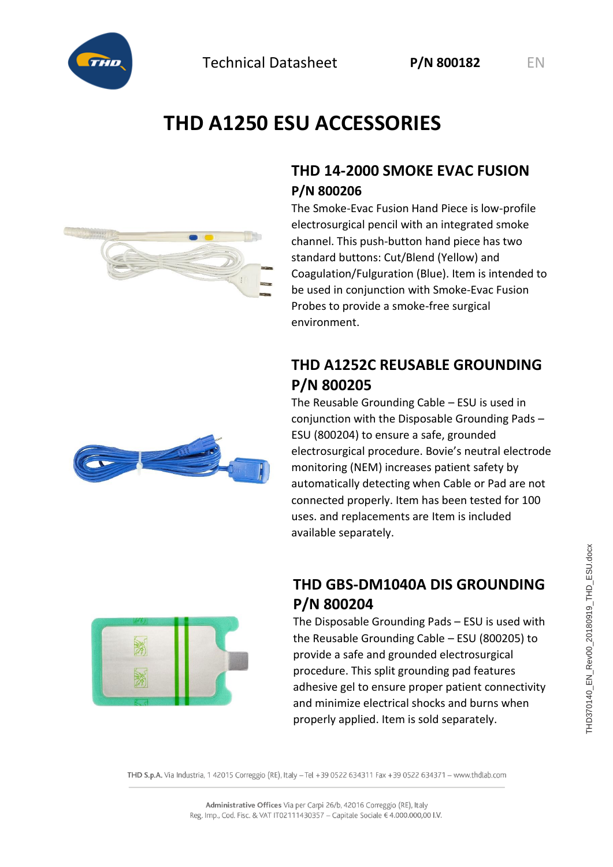



# **THD A1250 ESU ACCESSORIES**

#### **THD 14-2000 SMOKE EVAC FUSION P/N 800206**

The Smoke-Evac Fusion Hand Piece is low-profile electrosurgical pencil with an integrated smoke channel. This push-button hand piece has two standard buttons: Cut/Blend (Yellow) and Coagulation/Fulguration (Blue). Item is intended to be used in conjunction with Smoke-Evac Fusion Probes to provide a smoke-free surgical environment.

### **THD A1252C REUSABLE GROUNDING P/N 800205**

The Reusable Grounding Cable – ESU is used in conjunction with the Disposable Grounding Pads – ESU (800204) to ensure a safe, grounded electrosurgical procedure. Bovie's neutral electrode monitoring (NEM) increases patient safety by automatically detecting when Cable or Pad are not connected properly. Item has been tested for 100 uses. and replacements are Item is included available separately.



#### **THD GBS-DM1040A DIS GROUNDING P/N 800204**

The Disposable Grounding Pads – ESU is used with the Reusable Grounding Cable – ESU (800205) to provide a safe and grounded electrosurgical procedure. This split grounding pad features adhesive gel to ensure proper patient connectivity and minimize electrical shocks and burns when properly applied. Item is sold separately.

THD S.p.A. Via Industria, 1 42015 Correggio (RE), Italy -Tel +39 0522 634311 Fax +39 0522 634371 - www.thdlab.com